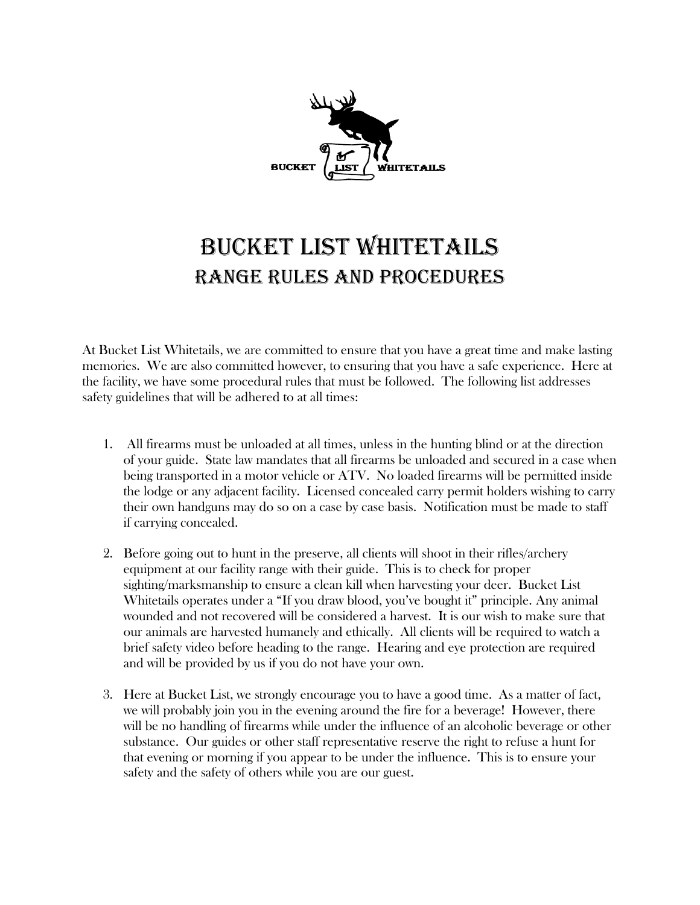

## Bucket List Whitetails Range rules and Procedures

At Bucket List Whitetails, we are committed to ensure that you have a great time and make lasting memories. We are also committed however, to ensuring that you have a safe experience. Here at the facility, we have some procedural rules that must be followed. The following list addresses safety guidelines that will be adhered to at all times:

- 1. All firearms must be unloaded at all times, unless in the hunting blind or at the direction of your guide. State law mandates that all firearms be unloaded and secured in a case when being transported in a motor vehicle or ATV. No loaded firearms will be permitted inside the lodge or any adjacent facility. Licensed concealed carry permit holders wishing to carry their own handguns may do so on a case by case basis. Notification must be made to staff if carrying concealed.
- 2. Before going out to hunt in the preserve, all clients will shoot in their rifles/archery equipment at our facility range with their guide. This is to check for proper sighting/marksmanship to ensure a clean kill when harvesting your deer. Bucket List Whitetails operates under a "If you draw blood, you've bought it" principle. Any animal wounded and not recovered will be considered a harvest. It is our wish to make sure that our animals are harvested humanely and ethically. All clients will be required to watch a brief safety video before heading to the range. Hearing and eye protection are required and will be provided by us if you do not have your own.
- 3. Here at Bucket List, we strongly encourage you to have a good time. As a matter of fact, we will probably join you in the evening around the fire for a beverage! However, there will be no handling of firearms while under the influence of an alcoholic beverage or other substance. Our guides or other staff representative reserve the right to refuse a hunt for that evening or morning if you appear to be under the influence. This is to ensure your safety and the safety of others while you are our guest.